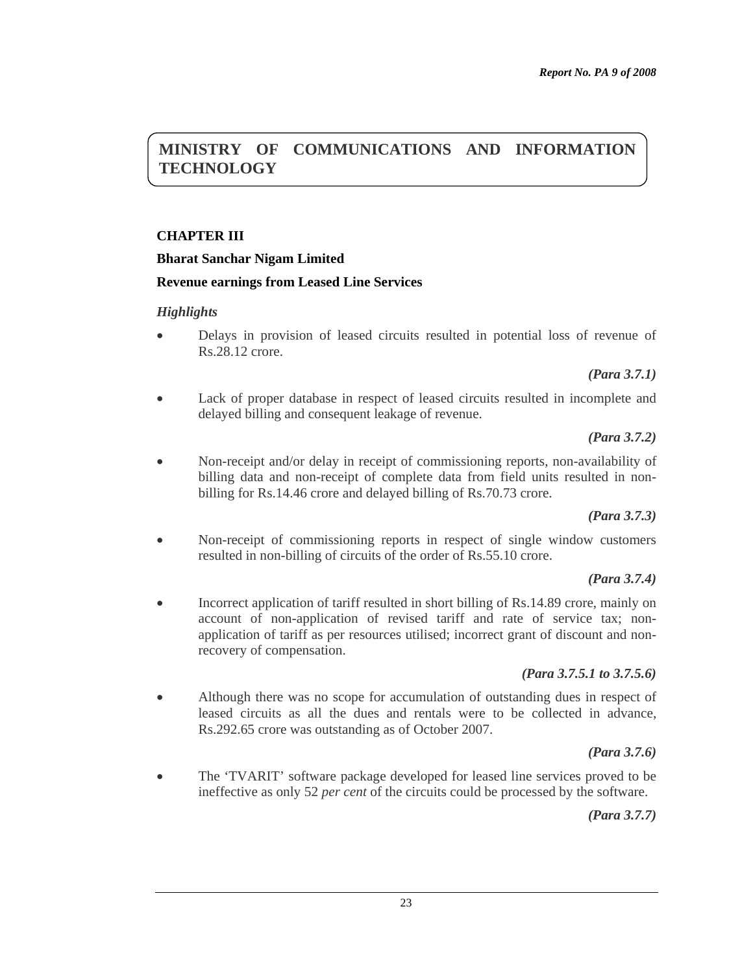# **MINISTRY OF COMMUNICATIONS AND INFORMATION TECHNOLOGY**

# **CHAPTER III**

### **Bharat Sanchar Nigam Limited**

### **Revenue earnings from Leased Line Services**

### *Highlights*

• Delays in provision of leased circuits resulted in potential loss of revenue of Rs.28.12 crore.

*(Para 3.7.1)* 

Lack of proper database in respect of leased circuits resulted in incomplete and delayed billing and consequent leakage of revenue.

*(Para 3.7.2)* 

• Non-receipt and/or delay in receipt of commissioning reports, non-availability of billing data and non-receipt of complete data from field units resulted in nonbilling for Rs.14.46 crore and delayed billing of Rs.70.73 crore.

*(Para 3.7.3)* 

• Non-receipt of commissioning reports in respect of single window customers resulted in non-billing of circuits of the order of Rs.55.10 crore.

#### *(Para 3.7.4)*

• Incorrect application of tariff resulted in short billing of Rs.14.89 crore, mainly on account of non-application of revised tariff and rate of service tax; nonapplication of tariff as per resources utilised; incorrect grant of discount and nonrecovery of compensation.

#### *(Para 3.7.5.1 to 3.7.5.6)*

• Although there was no scope for accumulation of outstanding dues in respect of leased circuits as all the dues and rentals were to be collected in advance, Rs.292.65 crore was outstanding as of October 2007.

*(Para 3.7.6)* 

• The 'TVARIT' software package developed for leased line services proved to be ineffective as only 52 *per cent* of the circuits could be processed by the software.

*(Para 3.7.7)*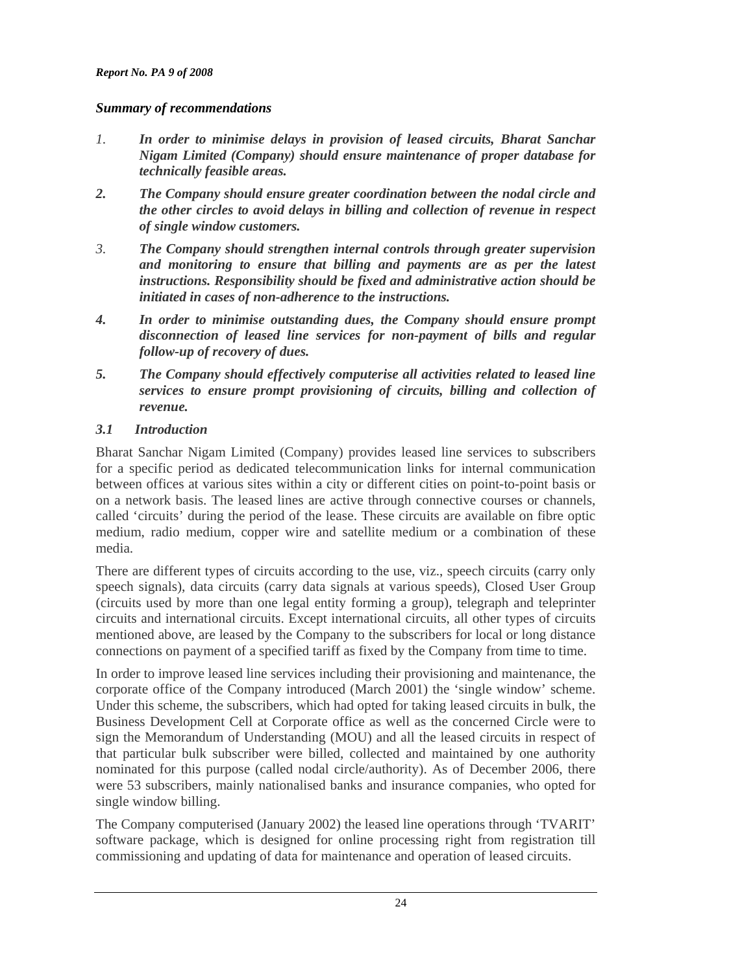# *Summary of recommendations*

- *1. In order to minimise delays in provision of leased circuits, Bharat Sanchar Nigam Limited (Company) should ensure maintenance of proper database for technically feasible areas.*
- *2. The Company should ensure greater coordination between the nodal circle and the other circles to avoid delays in billing and collection of revenue in respect of single window customers.*
- *3. The Company should strengthen internal controls through greater supervision and monitoring to ensure that billing and payments are as per the latest instructions. Responsibility should be fixed and administrative action should be initiated in cases of non-adherence to the instructions.*
- *4. In order to minimise outstanding dues, the Company should ensure prompt disconnection of leased line services for non-payment of bills and regular follow-up of recovery of dues.*
- *5. The Company should effectively computerise all activities related to leased line services to ensure prompt provisioning of circuits, billing and collection of revenue.*

# *3.1 Introduction*

Bharat Sanchar Nigam Limited (Company) provides leased line services to subscribers for a specific period as dedicated telecommunication links for internal communication between offices at various sites within a city or different cities on point-to-point basis or on a network basis. The leased lines are active through connective courses or channels, called 'circuits' during the period of the lease. These circuits are available on fibre optic medium, radio medium, copper wire and satellite medium or a combination of these media.

There are different types of circuits according to the use, viz., speech circuits (carry only speech signals), data circuits (carry data signals at various speeds), Closed User Group (circuits used by more than one legal entity forming a group), telegraph and teleprinter circuits and international circuits. Except international circuits, all other types of circuits mentioned above, are leased by the Company to the subscribers for local or long distance connections on payment of a specified tariff as fixed by the Company from time to time.

In order to improve leased line services including their provisioning and maintenance, the corporate office of the Company introduced (March 2001) the 'single window' scheme. Under this scheme, the subscribers, which had opted for taking leased circuits in bulk, the Business Development Cell at Corporate office as well as the concerned Circle were to sign the Memorandum of Understanding (MOU) and all the leased circuits in respect of that particular bulk subscriber were billed, collected and maintained by one authority nominated for this purpose (called nodal circle/authority). As of December 2006, there were 53 subscribers, mainly nationalised banks and insurance companies, who opted for single window billing.

The Company computerised (January 2002) the leased line operations through 'TVARIT' software package, which is designed for online processing right from registration till commissioning and updating of data for maintenance and operation of leased circuits.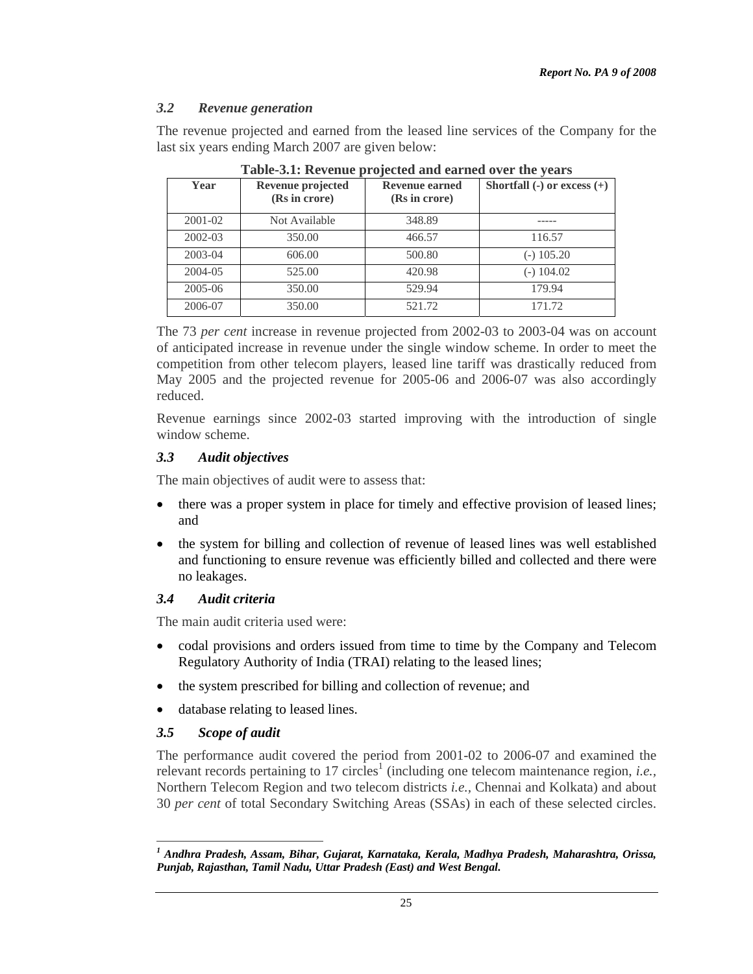### *3.2 Revenue generation*

The revenue projected and earned from the leased line services of the Company for the last six years ending March 2007 are given below:

| TUDIO OILI INDI CINAD<br>$\mu$ , $\sigma$ and $\sigma$ and $\sigma$ and $\sigma$ and $\sigma$ |                                    |                                        |                                 |  |  |  |
|-----------------------------------------------------------------------------------------------|------------------------------------|----------------------------------------|---------------------------------|--|--|--|
| Year                                                                                          | Revenue projected<br>(Rs in crore) | <b>Revenue earned</b><br>(Rs in crore) | Shortfall $(-)$ or excess $(+)$ |  |  |  |
| 2001-02                                                                                       | Not Available                      | 348.89                                 |                                 |  |  |  |
| 2002-03                                                                                       | 350.00                             | 466.57                                 | 116.57                          |  |  |  |
| 2003-04                                                                                       | 606.00                             | 500.80                                 | $(-) 105.20$                    |  |  |  |
| 2004-05                                                                                       | 525.00                             | 420.98                                 | $(-)$ 104.02                    |  |  |  |
| 2005-06                                                                                       | 350.00                             | 529.94                                 | 179.94                          |  |  |  |
| 2006-07                                                                                       | 350.00                             | 521.72                                 | 171.72                          |  |  |  |

**Table-3.1: Revenue projected and earned over the years**

The 73 *per cent* increase in revenue projected from 2002-03 to 2003-04 was on account of anticipated increase in revenue under the single window scheme. In order to meet the competition from other telecom players, leased line tariff was drastically reduced from May 2005 and the projected revenue for 2005-06 and 2006-07 was also accordingly reduced.

Revenue earnings since 2002-03 started improving with the introduction of single window scheme.

### *3.3 Audit objectives*

The main objectives of audit were to assess that:

- there was a proper system in place for timely and effective provision of leased lines; and
- the system for billing and collection of revenue of leased lines was well established and functioning to ensure revenue was efficiently billed and collected and there were no leakages.

#### *3.4 Audit criteria*

The main audit criteria used were:

- codal provisions and orders issued from time to time by the Company and Telecom Regulatory Authority of India (TRAI) relating to the leased lines;
- the system prescribed for billing and collection of revenue; and
- database relating to leased lines.

### *3.5 Scope of audit*

 $\overline{a}$ 

The performance audit covered the period from 2001-02 to 2006-07 and examined the relevant records pertaining to 17 circles<sup>1</sup> (including one telecom maintenance region, *i.e.*, Northern Telecom Region and two telecom districts *i.e.,* Chennai and Kolkata) and about 30 *per cent* of total Secondary Switching Areas (SSAs) in each of these selected circles.

*<sup>1</sup> Andhra Pradesh, Assam, Bihar, Gujarat, Karnataka, Kerala, Madhya Pradesh, Maharashtra, Orissa, Punjab, Rajasthan, Tamil Nadu, Uttar Pradesh (East) and West Bengal.*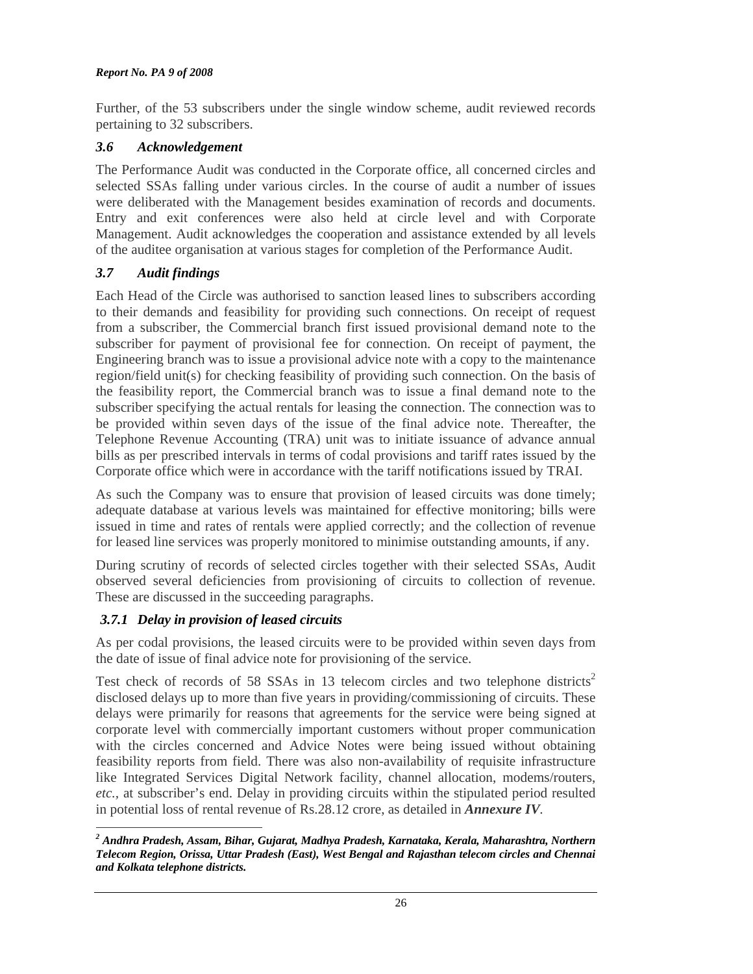#### *Report No. PA 9 of 2008*

Further, of the 53 subscribers under the single window scheme, audit reviewed records pertaining to 32 subscribers.

# *3.6 Acknowledgement*

The Performance Audit was conducted in the Corporate office, all concerned circles and selected SSAs falling under various circles. In the course of audit a number of issues were deliberated with the Management besides examination of records and documents. Entry and exit conferences were also held at circle level and with Corporate Management. Audit acknowledges the cooperation and assistance extended by all levels of the auditee organisation at various stages for completion of the Performance Audit.

# *3.7 Audit findings*

Each Head of the Circle was authorised to sanction leased lines to subscribers according to their demands and feasibility for providing such connections. On receipt of request from a subscriber, the Commercial branch first issued provisional demand note to the subscriber for payment of provisional fee for connection. On receipt of payment, the Engineering branch was to issue a provisional advice note with a copy to the maintenance region/field unit(s) for checking feasibility of providing such connection. On the basis of the feasibility report, the Commercial branch was to issue a final demand note to the subscriber specifying the actual rentals for leasing the connection. The connection was to be provided within seven days of the issue of the final advice note. Thereafter, the Telephone Revenue Accounting (TRA) unit was to initiate issuance of advance annual bills as per prescribed intervals in terms of codal provisions and tariff rates issued by the Corporate office which were in accordance with the tariff notifications issued by TRAI.

As such the Company was to ensure that provision of leased circuits was done timely; adequate database at various levels was maintained for effective monitoring; bills were issued in time and rates of rentals were applied correctly; and the collection of revenue for leased line services was properly monitored to minimise outstanding amounts, if any.

During scrutiny of records of selected circles together with their selected SSAs, Audit observed several deficiencies from provisioning of circuits to collection of revenue. These are discussed in the succeeding paragraphs.

# *3.7.1 Delay in provision of leased circuits*

As per codal provisions, the leased circuits were to be provided within seven days from the date of issue of final advice note for provisioning of the service.

Test check of records of 58 SSAs in 13 telecom circles and two telephone districts<sup>2</sup> disclosed delays up to more than five years in providing/commissioning of circuits. These delays were primarily for reasons that agreements for the service were being signed at corporate level with commercially important customers without proper communication with the circles concerned and Advice Notes were being issued without obtaining feasibility reports from field. There was also non-availability of requisite infrastructure like Integrated Services Digital Network facility, channel allocation, modems/routers, *etc.,* at subscriber's end. Delay in providing circuits within the stipulated period resulted in potential loss of rental revenue of Rs.28.12 crore, as detailed in *Annexure IV.*

 $\overline{a}$ *2 Andhra Pradesh, Assam, Bihar, Gujarat, Madhya Pradesh, Karnataka, Kerala, Maharashtra, Northern Telecom Region, Orissa, Uttar Pradesh (East), West Bengal and Rajasthan telecom circles and Chennai and Kolkata telephone districts.*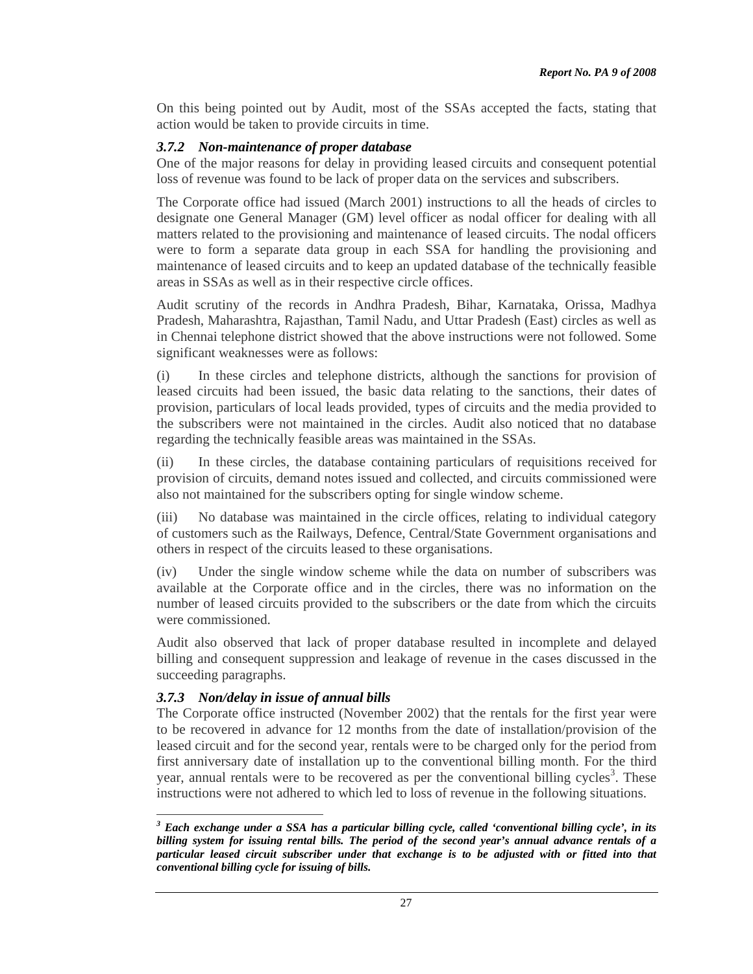On this being pointed out by Audit, most of the SSAs accepted the facts, stating that action would be taken to provide circuits in time.

### *3.7.2 Non-maintenance of proper database*

One of the major reasons for delay in providing leased circuits and consequent potential loss of revenue was found to be lack of proper data on the services and subscribers.

The Corporate office had issued (March 2001) instructions to all the heads of circles to designate one General Manager (GM) level officer as nodal officer for dealing with all matters related to the provisioning and maintenance of leased circuits. The nodal officers were to form a separate data group in each SSA for handling the provisioning and maintenance of leased circuits and to keep an updated database of the technically feasible areas in SSAs as well as in their respective circle offices.

Audit scrutiny of the records in Andhra Pradesh, Bihar, Karnataka, Orissa, Madhya Pradesh, Maharashtra, Rajasthan, Tamil Nadu, and Uttar Pradesh (East) circles as well as in Chennai telephone district showed that the above instructions were not followed. Some significant weaknesses were as follows:

(i) In these circles and telephone districts, although the sanctions for provision of leased circuits had been issued, the basic data relating to the sanctions, their dates of provision, particulars of local leads provided, types of circuits and the media provided to the subscribers were not maintained in the circles. Audit also noticed that no database regarding the technically feasible areas was maintained in the SSAs.

(ii) In these circles, the database containing particulars of requisitions received for provision of circuits, demand notes issued and collected, and circuits commissioned were also not maintained for the subscribers opting for single window scheme.

(iii) No database was maintained in the circle offices, relating to individual category of customers such as the Railways, Defence, Central/State Government organisations and others in respect of the circuits leased to these organisations.

(iv) Under the single window scheme while the data on number of subscribers was available at the Corporate office and in the circles, there was no information on the number of leased circuits provided to the subscribers or the date from which the circuits were commissioned.

Audit also observed that lack of proper database resulted in incomplete and delayed billing and consequent suppression and leakage of revenue in the cases discussed in the succeeding paragraphs.

### *3.7.3 Non/delay in issue of annual bills*

The Corporate office instructed (November 2002) that the rentals for the first year were to be recovered in advance for 12 months from the date of installation/provision of the leased circuit and for the second year, rentals were to be charged only for the period from first anniversary date of installation up to the conventional billing month. For the third year, annual rentals were to be recovered as per the conventional billing cycles<sup>3</sup>. These instructions were not adhered to which led to loss of revenue in the following situations.

 $\overline{a}$ <sup>3</sup> Each exchange under a SSA has a particular billing cycle, called 'conventional billing cycle', in its *billing system for issuing rental bills. The period of the second year's annual advance rentals of a particular leased circuit subscriber under that exchange is to be adjusted with or fitted into that conventional billing cycle for issuing of bills.*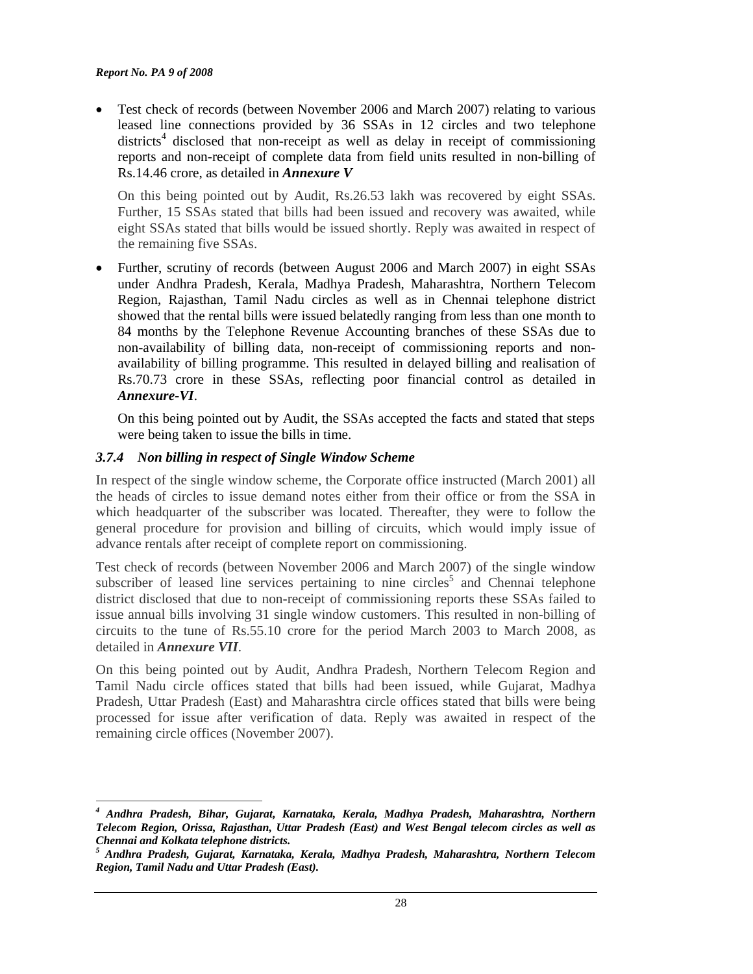• Test check of records (between November 2006 and March 2007) relating to various leased line connections provided by 36 SSAs in 12 circles and two telephone districts<sup>4</sup> disclosed that non-receipt as well as delay in receipt of commissioning reports and non-receipt of complete data from field units resulted in non-billing of Rs.14.46 crore, as detailed in *Annexure V*

On this being pointed out by Audit, Rs.26.53 lakh was recovered by eight SSAs. Further, 15 SSAs stated that bills had been issued and recovery was awaited, while eight SSAs stated that bills would be issued shortly. Reply was awaited in respect of the remaining five SSAs.

• Further, scrutiny of records (between August 2006 and March 2007) in eight SSAs under Andhra Pradesh, Kerala, Madhya Pradesh, Maharashtra, Northern Telecom Region, Rajasthan, Tamil Nadu circles as well as in Chennai telephone district showed that the rental bills were issued belatedly ranging from less than one month to 84 months by the Telephone Revenue Accounting branches of these SSAs due to non-availability of billing data, non-receipt of commissioning reports and nonavailability of billing programme. This resulted in delayed billing and realisation of Rs.70.73 crore in these SSAs, reflecting poor financial control as detailed in *Annexure-VI*.

On this being pointed out by Audit, the SSAs accepted the facts and stated that steps were being taken to issue the bills in time.

### *3.7.4 Non billing in respect of Single Window Scheme*

In respect of the single window scheme, the Corporate office instructed (March 2001) all the heads of circles to issue demand notes either from their office or from the SSA in which headquarter of the subscriber was located. Thereafter, they were to follow the general procedure for provision and billing of circuits, which would imply issue of advance rentals after receipt of complete report on commissioning.

Test check of records (between November 2006 and March 2007) of the single window subscriber of leased line services pertaining to nine circles<sup>5</sup> and Chennai telephone district disclosed that due to non-receipt of commissioning reports these SSAs failed to issue annual bills involving 31 single window customers. This resulted in non-billing of circuits to the tune of Rs.55.10 crore for the period March 2003 to March 2008, as detailed in *Annexure VII*.

On this being pointed out by Audit, Andhra Pradesh, Northern Telecom Region and Tamil Nadu circle offices stated that bills had been issued, while Gujarat, Madhya Pradesh, Uttar Pradesh (East) and Maharashtra circle offices stated that bills were being processed for issue after verification of data. Reply was awaited in respect of the remaining circle offices (November 2007).

 $\overline{a}$ *4 Andhra Pradesh, Bihar, Gujarat, Karnataka, Kerala, Madhya Pradesh, Maharashtra, Northern Telecom Region, Orissa, Rajasthan, Uttar Pradesh (East) and West Bengal telecom circles as well as Chennai and Kolkata telephone districts.* 

*<sup>5</sup> Andhra Pradesh, Gujarat, Karnataka, Kerala, Madhya Pradesh, Maharashtra, Northern Telecom Region, Tamil Nadu and Uttar Pradesh (East).*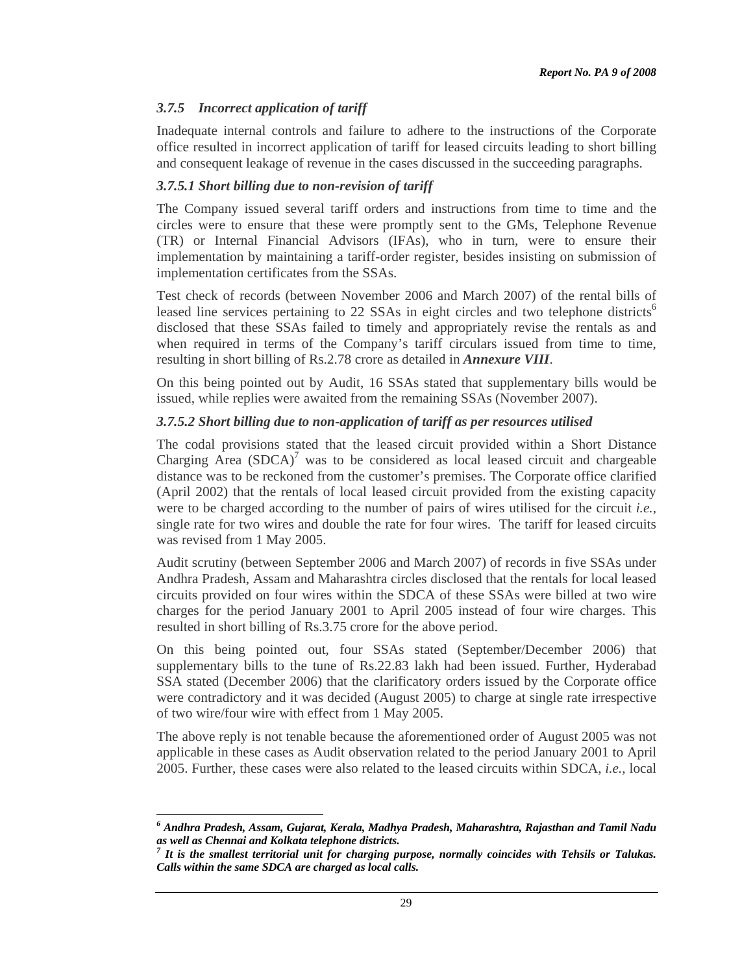# *3.7.5 Incorrect application of tariff*

 $\overline{a}$ 

Inadequate internal controls and failure to adhere to the instructions of the Corporate office resulted in incorrect application of tariff for leased circuits leading to short billing and consequent leakage of revenue in the cases discussed in the succeeding paragraphs.

### *3.7.5.1 Short billing due to non-revision of tariff*

The Company issued several tariff orders and instructions from time to time and the circles were to ensure that these were promptly sent to the GMs, Telephone Revenue (TR) or Internal Financial Advisors (IFAs), who in turn, were to ensure their implementation by maintaining a tariff-order register, besides insisting on submission of implementation certificates from the SSAs.

Test check of records (between November 2006 and March 2007) of the rental bills of leased line services pertaining to 22 SSAs in eight circles and two telephone districts<sup>6</sup> disclosed that these SSAs failed to timely and appropriately revise the rentals as and when required in terms of the Company's tariff circulars issued from time to time, resulting in short billing of Rs.2.78 crore as detailed in *Annexure VIII*.

On this being pointed out by Audit, 16 SSAs stated that supplementary bills would be issued, while replies were awaited from the remaining SSAs (November 2007).

### *3.7.5.2 Short billing due to non-application of tariff as per resources utilised*

The codal provisions stated that the leased circuit provided within a Short Distance Charging Area  $(SDCA)^7$  was to be considered as local leased circuit and chargeable distance was to be reckoned from the customer's premises. The Corporate office clarified (April 2002) that the rentals of local leased circuit provided from the existing capacity were to be charged according to the number of pairs of wires utilised for the circuit *i.e.,* single rate for two wires and double the rate for four wires. The tariff for leased circuits was revised from 1 May 2005.

Audit scrutiny (between September 2006 and March 2007) of records in five SSAs under Andhra Pradesh, Assam and Maharashtra circles disclosed that the rentals for local leased circuits provided on four wires within the SDCA of these SSAs were billed at two wire charges for the period January 2001 to April 2005 instead of four wire charges. This resulted in short billing of Rs.3.75 crore for the above period.

On this being pointed out, four SSAs stated (September/December 2006) that supplementary bills to the tune of Rs.22.83 lakh had been issued. Further, Hyderabad SSA stated (December 2006) that the clarificatory orders issued by the Corporate office were contradictory and it was decided (August 2005) to charge at single rate irrespective of two wire/four wire with effect from 1 May 2005.

The above reply is not tenable because the aforementioned order of August 2005 was not applicable in these cases as Audit observation related to the period January 2001 to April 2005. Further, these cases were also related to the leased circuits within SDCA, *i.e.,* local

*<sup>6</sup> Andhra Pradesh, Assam, Gujarat, Kerala, Madhya Pradesh, Maharashtra, Rajasthan and Tamil Nadu as well as Chennai and Kolkata telephone districts.* 

<sup>&</sup>lt;sup>7</sup> It is the smallest territorial unit for charging purpose, normally coincides with Tehsils or Talukas. *Calls within the same SDCA are charged as local calls.*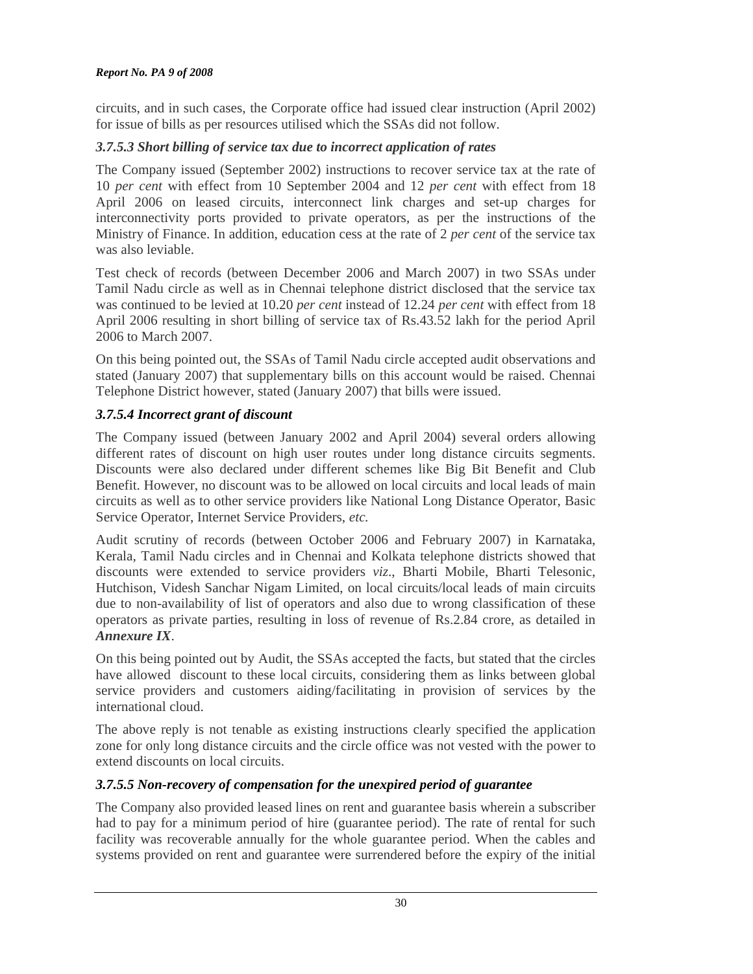### *Report No. PA 9 of 2008*

circuits, and in such cases, the Corporate office had issued clear instruction (April 2002) for issue of bills as per resources utilised which the SSAs did not follow.

# *3.7.5.3 Short billing of service tax due to incorrect application of rates*

The Company issued (September 2002) instructions to recover service tax at the rate of 10 *per cent* with effect from 10 September 2004 and 12 *per cent* with effect from 18 April 2006 on leased circuits, interconnect link charges and set-up charges for interconnectivity ports provided to private operators, as per the instructions of the Ministry of Finance. In addition, education cess at the rate of 2 *per cent* of the service tax was also leviable.

Test check of records (between December 2006 and March 2007) in two SSAs under Tamil Nadu circle as well as in Chennai telephone district disclosed that the service tax was continued to be levied at 10.20 *per cent* instead of 12.24 *per cent* with effect from 18 April 2006 resulting in short billing of service tax of Rs.43.52 lakh for the period April 2006 to March 2007.

On this being pointed out, the SSAs of Tamil Nadu circle accepted audit observations and stated (January 2007) that supplementary bills on this account would be raised. Chennai Telephone District however, stated (January 2007) that bills were issued.

# *3.7.5.4 Incorrect grant of discount*

The Company issued (between January 2002 and April 2004) several orders allowing different rates of discount on high user routes under long distance circuits segments. Discounts were also declared under different schemes like Big Bit Benefit and Club Benefit. However, no discount was to be allowed on local circuits and local leads of main circuits as well as to other service providers like National Long Distance Operator, Basic Service Operator, Internet Service Providers, *etc.*

Audit scrutiny of records (between October 2006 and February 2007) in Karnataka, Kerala, Tamil Nadu circles and in Chennai and Kolkata telephone districts showed that discounts were extended to service providers *viz*., Bharti Mobile, Bharti Telesonic, Hutchison, Videsh Sanchar Nigam Limited, on local circuits/local leads of main circuits due to non-availability of list of operators and also due to wrong classification of these operators as private parties, resulting in loss of revenue of Rs.2.84 crore, as detailed in *Annexure IX*.

On this being pointed out by Audit, the SSAs accepted the facts, but stated that the circles have allowed discount to these local circuits, considering them as links between global service providers and customers aiding/facilitating in provision of services by the international cloud.

The above reply is not tenable as existing instructions clearly specified the application zone for only long distance circuits and the circle office was not vested with the power to extend discounts on local circuits.

# *3.7.5.5 Non-recovery of compensation for the unexpired period of guarantee*

The Company also provided leased lines on rent and guarantee basis wherein a subscriber had to pay for a minimum period of hire (guarantee period). The rate of rental for such facility was recoverable annually for the whole guarantee period. When the cables and systems provided on rent and guarantee were surrendered before the expiry of the initial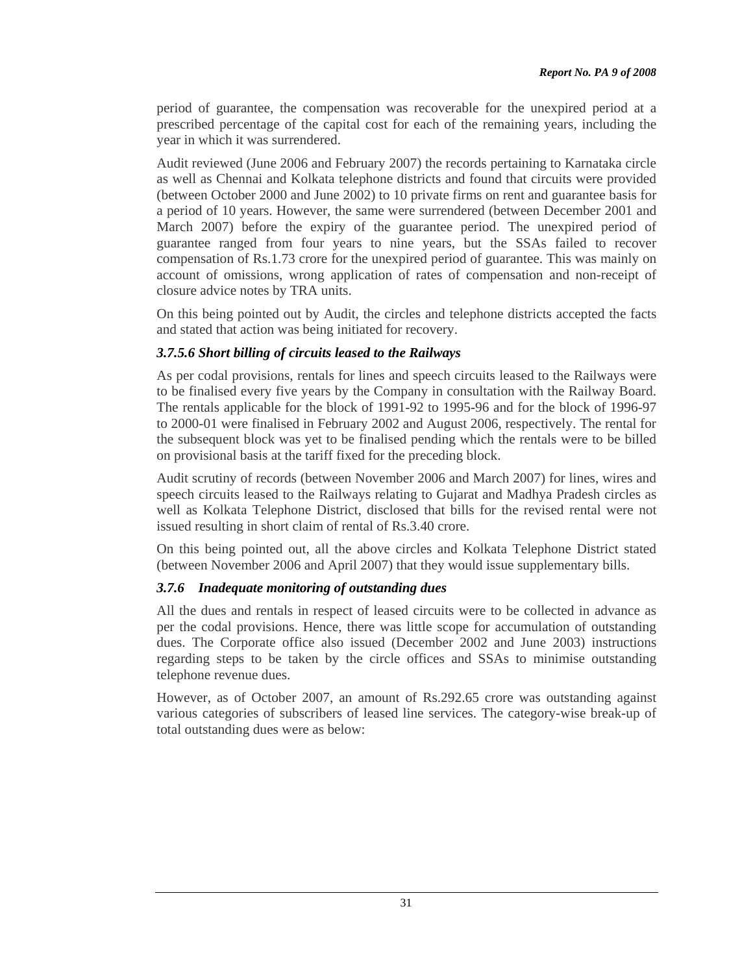period of guarantee, the compensation was recoverable for the unexpired period at a prescribed percentage of the capital cost for each of the remaining years, including the year in which it was surrendered.

Audit reviewed (June 2006 and February 2007) the records pertaining to Karnataka circle as well as Chennai and Kolkata telephone districts and found that circuits were provided (between October 2000 and June 2002) to 10 private firms on rent and guarantee basis for a period of 10 years. However, the same were surrendered (between December 2001 and March 2007) before the expiry of the guarantee period. The unexpired period of guarantee ranged from four years to nine years, but the SSAs failed to recover compensation of Rs.1.73 crore for the unexpired period of guarantee. This was mainly on account of omissions, wrong application of rates of compensation and non-receipt of closure advice notes by TRA units.

On this being pointed out by Audit, the circles and telephone districts accepted the facts and stated that action was being initiated for recovery.

### *3.7.5.6 Short billing of circuits leased to the Railways*

As per codal provisions, rentals for lines and speech circuits leased to the Railways were to be finalised every five years by the Company in consultation with the Railway Board. The rentals applicable for the block of 1991-92 to 1995-96 and for the block of 1996-97 to 2000-01 were finalised in February 2002 and August 2006, respectively. The rental for the subsequent block was yet to be finalised pending which the rentals were to be billed on provisional basis at the tariff fixed for the preceding block.

Audit scrutiny of records (between November 2006 and March 2007) for lines, wires and speech circuits leased to the Railways relating to Gujarat and Madhya Pradesh circles as well as Kolkata Telephone District, disclosed that bills for the revised rental were not issued resulting in short claim of rental of Rs.3.40 crore.

On this being pointed out, all the above circles and Kolkata Telephone District stated (between November 2006 and April 2007) that they would issue supplementary bills.

#### *3.7.6 Inadequate monitoring of outstanding dues*

All the dues and rentals in respect of leased circuits were to be collected in advance as per the codal provisions. Hence, there was little scope for accumulation of outstanding dues. The Corporate office also issued (December 2002 and June 2003) instructions regarding steps to be taken by the circle offices and SSAs to minimise outstanding telephone revenue dues.

However, as of October 2007, an amount of Rs.292.65 crore was outstanding against various categories of subscribers of leased line services. The category-wise break-up of total outstanding dues were as below: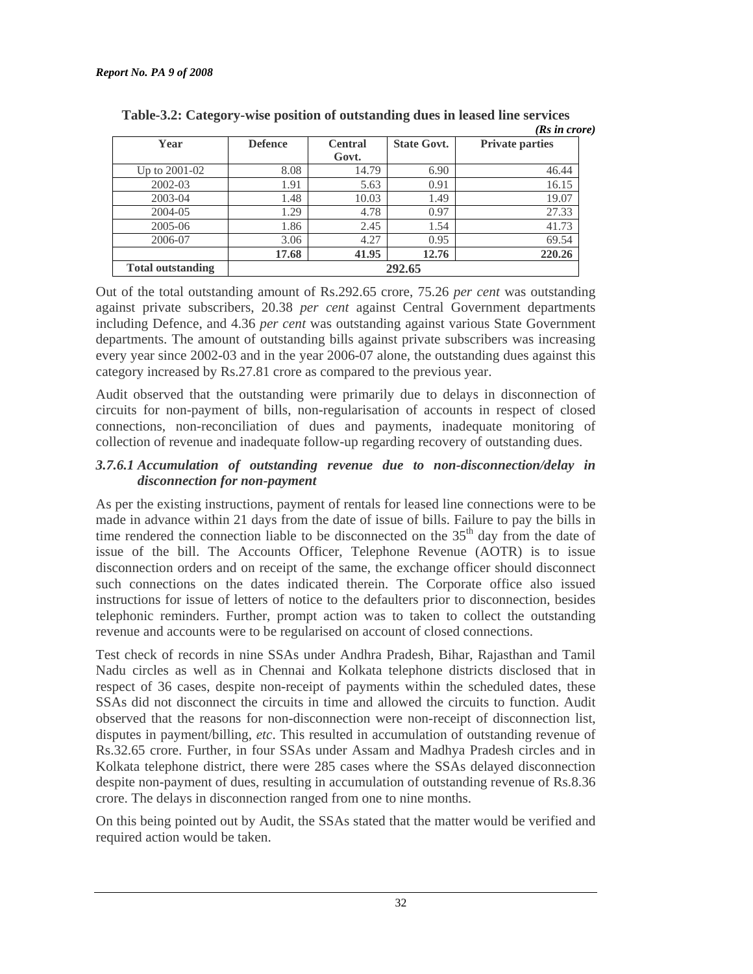|                          |                |                |                    | (Rs in crore)          |
|--------------------------|----------------|----------------|--------------------|------------------------|
| Year                     | <b>Defence</b> | <b>Central</b> | <b>State Govt.</b> | <b>Private parties</b> |
|                          |                | Govt.          |                    |                        |
| Up to 2001-02            | 8.08           | 14.79          | 6.90               | 46.44                  |
| 2002-03                  | 1.91           | 5.63           | 0.91               | 16.15                  |
| 2003-04                  | 1.48           | 10.03          | 1.49               | 19.07                  |
| 2004-05                  | 1.29           | 4.78           | 0.97               | 27.33                  |
| 2005-06                  | 1.86           | 2.45           | 1.54               | 41.73                  |
| 2006-07                  | 3.06           | 4.27           | 0.95               | 69.54                  |
|                          | 17.68          | 41.95          | 12.76              | 220.26                 |
| <b>Total outstanding</b> | 292.65         |                |                    |                        |

**Table-3.2: Category-wise position of outstanding dues in leased line services** 

Out of the total outstanding amount of Rs.292.65 crore, 75.26 *per cent* was outstanding against private subscribers, 20.38 *per cent* against Central Government departments including Defence, and 4.36 *per cent* was outstanding against various State Government departments. The amount of outstanding bills against private subscribers was increasing every year since 2002-03 and in the year 2006-07 alone, the outstanding dues against this category increased by Rs.27.81 crore as compared to the previous year.

Audit observed that the outstanding were primarily due to delays in disconnection of circuits for non-payment of bills, non-regularisation of accounts in respect of closed connections, non-reconciliation of dues and payments, inadequate monitoring of collection of revenue and inadequate follow-up regarding recovery of outstanding dues.

### *3.7.6.1 Accumulation of outstanding revenue due to non-disconnection/delay in disconnection for non-payment*

As per the existing instructions, payment of rentals for leased line connections were to be made in advance within 21 days from the date of issue of bills. Failure to pay the bills in time rendered the connection liable to be disconnected on the  $35<sup>th</sup>$  day from the date of issue of the bill. The Accounts Officer, Telephone Revenue (AOTR) is to issue disconnection orders and on receipt of the same, the exchange officer should disconnect such connections on the dates indicated therein. The Corporate office also issued instructions for issue of letters of notice to the defaulters prior to disconnection, besides telephonic reminders. Further, prompt action was to taken to collect the outstanding revenue and accounts were to be regularised on account of closed connections.

Test check of records in nine SSAs under Andhra Pradesh, Bihar, Rajasthan and Tamil Nadu circles as well as in Chennai and Kolkata telephone districts disclosed that in respect of 36 cases, despite non-receipt of payments within the scheduled dates, these SSAs did not disconnect the circuits in time and allowed the circuits to function. Audit observed that the reasons for non-disconnection were non-receipt of disconnection list, disputes in payment/billing, *etc*. This resulted in accumulation of outstanding revenue of Rs.32.65 crore. Further, in four SSAs under Assam and Madhya Pradesh circles and in Kolkata telephone district, there were 285 cases where the SSAs delayed disconnection despite non-payment of dues, resulting in accumulation of outstanding revenue of Rs.8.36 crore. The delays in disconnection ranged from one to nine months.

On this being pointed out by Audit, the SSAs stated that the matter would be verified and required action would be taken.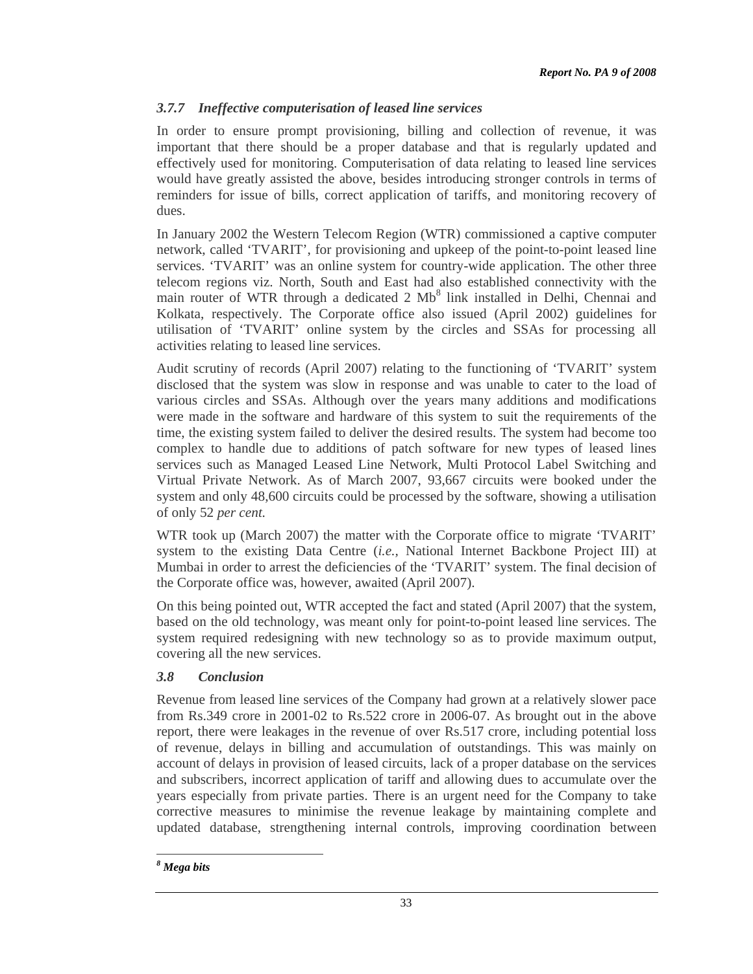# *3.7.7 Ineffective computerisation of leased line services*

In order to ensure prompt provisioning, billing and collection of revenue, it was important that there should be a proper database and that is regularly updated and effectively used for monitoring. Computerisation of data relating to leased line services would have greatly assisted the above, besides introducing stronger controls in terms of reminders for issue of bills, correct application of tariffs, and monitoring recovery of dues.

In January 2002 the Western Telecom Region (WTR) commissioned a captive computer network, called 'TVARIT', for provisioning and upkeep of the point-to-point leased line services. 'TVARIT' was an online system for country-wide application. The other three telecom regions viz. North, South and East had also established connectivity with the main router of WTR through a dedicated 2 Mb<sup>8</sup> link installed in Delhi, Chennai and Kolkata, respectively. The Corporate office also issued (April 2002) guidelines for utilisation of 'TVARIT' online system by the circles and SSAs for processing all activities relating to leased line services.

Audit scrutiny of records (April 2007) relating to the functioning of 'TVARIT' system disclosed that the system was slow in response and was unable to cater to the load of various circles and SSAs. Although over the years many additions and modifications were made in the software and hardware of this system to suit the requirements of the time, the existing system failed to deliver the desired results. The system had become too complex to handle due to additions of patch software for new types of leased lines services such as Managed Leased Line Network, Multi Protocol Label Switching and Virtual Private Network. As of March 2007, 93,667 circuits were booked under the system and only 48,600 circuits could be processed by the software, showing a utilisation of only 52 *per cent.*

WTR took up (March 2007) the matter with the Corporate office to migrate 'TVARIT' system to the existing Data Centre (*i.e.,* National Internet Backbone Project III) at Mumbai in order to arrest the deficiencies of the 'TVARIT' system. The final decision of the Corporate office was, however, awaited (April 2007).

On this being pointed out, WTR accepted the fact and stated (April 2007) that the system, based on the old technology, was meant only for point-to-point leased line services. The system required redesigning with new technology so as to provide maximum output, covering all the new services.

# *3.8 Conclusion*

Revenue from leased line services of the Company had grown at a relatively slower pace from Rs.349 crore in 2001-02 to Rs.522 crore in 2006-07. As brought out in the above report, there were leakages in the revenue of over Rs.517 crore, including potential loss of revenue, delays in billing and accumulation of outstandings. This was mainly on account of delays in provision of leased circuits, lack of a proper database on the services and subscribers, incorrect application of tariff and allowing dues to accumulate over the years especially from private parties. There is an urgent need for the Company to take corrective measures to minimise the revenue leakage by maintaining complete and updated database, strengthening internal controls, improving coordination between

 $\overline{a}$ *8 Mega bits*